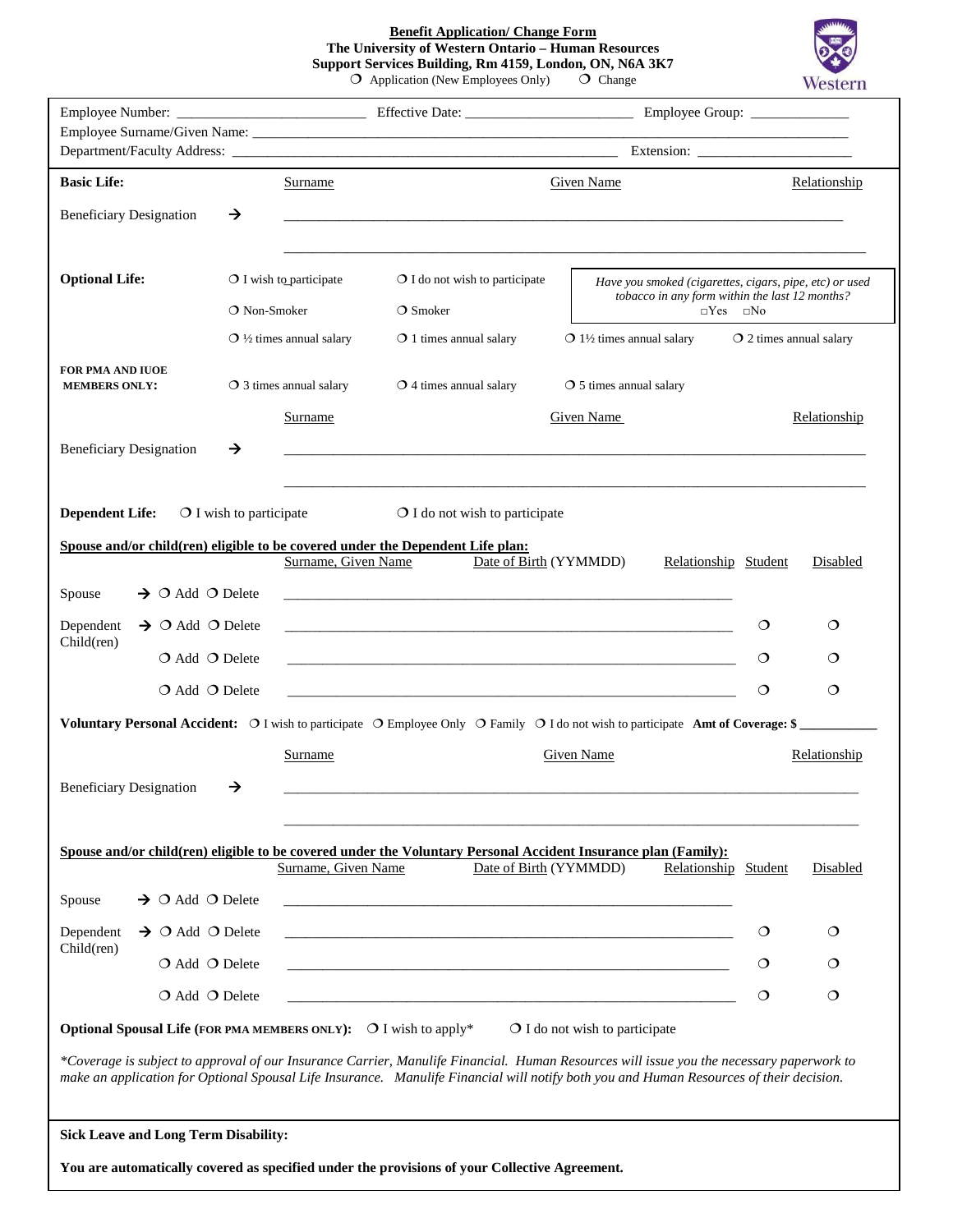**Benefit Application/ Change Form The University of Western Ontario – Human Resources Support Services Building, Rm 4159, London, ON, N6A 3K7**  $O$  Application (New Employees Only)  $O$  Change



|                                                                         |                                  |                                    |                                                                                                                                          | Employee Group: ______________                                                                                                                                                                                                                                                      |              |              |  |
|-------------------------------------------------------------------------|----------------------------------|------------------------------------|------------------------------------------------------------------------------------------------------------------------------------------|-------------------------------------------------------------------------------------------------------------------------------------------------------------------------------------------------------------------------------------------------------------------------------------|--------------|--------------|--|
|                                                                         |                                  |                                    |                                                                                                                                          |                                                                                                                                                                                                                                                                                     |              |              |  |
| <b>Basic Life:</b>                                                      |                                  | Surname                            | Given Name                                                                                                                               |                                                                                                                                                                                                                                                                                     |              | Relationship |  |
| <b>Beneficiary Designation</b>                                          | →                                |                                    |                                                                                                                                          |                                                                                                                                                                                                                                                                                     |              |              |  |
| <b>Optional Life:</b>                                                   |                                  | $\bigcirc$ I wish to participate   | $\bigcirc$ I do not wish to participate                                                                                                  | Have you smoked (cigarettes, cigars, pipe, etc) or used                                                                                                                                                                                                                             |              |              |  |
|                                                                         | O Non-Smoker                     |                                    | tobacco in any form within the last 12 months?<br>$\bigcirc$ Smoker<br>$\Box$ Yes                                                        |                                                                                                                                                                                                                                                                                     | $\square$ No |              |  |
|                                                                         |                                  | $\bigcirc$ 1/2 times annual salary | $\bigcirc$ 1 times annual salary                                                                                                         | $\bigcirc$ 1½ times annual salary<br>$\Omega$ 2 times annual salary                                                                                                                                                                                                                 |              |              |  |
| <b>FOR PMA AND IUOE</b><br><b>MEMBERS ONLY:</b>                         |                                  | $\bigcirc$ 3 times annual salary   | $\bigcirc$ 4 times annual salary                                                                                                         | $\circ$ 5 times annual salary                                                                                                                                                                                                                                                       |              |              |  |
|                                                                         |                                  | Surname                            |                                                                                                                                          | Given Name                                                                                                                                                                                                                                                                          |              | Relationship |  |
| <b>Beneficiary Designation</b>                                          | →                                |                                    |                                                                                                                                          |                                                                                                                                                                                                                                                                                     |              |              |  |
|                                                                         |                                  |                                    |                                                                                                                                          |                                                                                                                                                                                                                                                                                     |              |              |  |
| <b>Dependent Life:</b>                                                  | $\bigcirc$ I wish to participate |                                    | $\bigcirc$ I do not wish to participate                                                                                                  |                                                                                                                                                                                                                                                                                     |              |              |  |
|                                                                         |                                  |                                    | Spouse and/or child(ren) eligible to be covered under the Dependent Life plan:                                                           |                                                                                                                                                                                                                                                                                     |              |              |  |
|                                                                         |                                  | Surname, Given Name                | Date of Birth (YYMMDD)                                                                                                                   | Relationship Student                                                                                                                                                                                                                                                                |              | Disabled     |  |
| $\rightarrow$ O Add O Delete<br>Spouse                                  |                                  |                                    |                                                                                                                                          |                                                                                                                                                                                                                                                                                     |              |              |  |
| Dependent<br>$\rightarrow$ O Add O Delete                               |                                  |                                    |                                                                                                                                          | <u> 1989 - Johann Stoff, amerikansk politiker (* 1908)</u>                                                                                                                                                                                                                          | $\circ$      | O            |  |
| Child(ren)<br>$O$ Add $O$ Delete                                        |                                  |                                    |                                                                                                                                          | <u> 1999 - Johann John Harry Harry Harry Harry Harry Harry Harry Harry Harry Harry Harry Harry Harry Harry Harry</u>                                                                                                                                                                | $\circ$      | O            |  |
| $O$ Add $O$ Delete                                                      |                                  |                                    |                                                                                                                                          |                                                                                                                                                                                                                                                                                     | $\circ$      | $\circ$      |  |
|                                                                         |                                  |                                    |                                                                                                                                          | Voluntary Personal Accident: $\circ$ I wish to participate $\circ$ Employee Only $\circ$ Family $\circ$ I do not wish to participate Amt of Coverage: \$                                                                                                                            |              |              |  |
|                                                                         |                                  | Surname                            |                                                                                                                                          | <b>Given Name</b>                                                                                                                                                                                                                                                                   |              | Relationship |  |
| <b>Beneficiary Designation</b>                                          | →                                |                                    |                                                                                                                                          |                                                                                                                                                                                                                                                                                     |              |              |  |
|                                                                         |                                  |                                    |                                                                                                                                          |                                                                                                                                                                                                                                                                                     |              |              |  |
|                                                                         |                                  |                                    |                                                                                                                                          |                                                                                                                                                                                                                                                                                     |              |              |  |
|                                                                         |                                  | Surname, Given Name                | Spouse and/or child(ren) eligible to be covered under the Voluntary Personal Accident Insurance plan (Family):<br>Date of Birth (YYMMDD) | Relationship Student                                                                                                                                                                                                                                                                |              | Disabled     |  |
| $\rightarrow$ O Add O Delete<br>Spouse                                  |                                  |                                    |                                                                                                                                          |                                                                                                                                                                                                                                                                                     |              |              |  |
| $\rightarrow$ O Add O Delete<br>Dependent                               |                                  |                                    | and the control of the control of the control of the control of the control of the control of the control of the                         |                                                                                                                                                                                                                                                                                     | $\circ$      | $\circ$      |  |
| Child(ren)<br>$\bigcirc$ Add $\bigcirc$ Delete                          |                                  |                                    | and the control of the control of the control of the control of the control of the control of the control of the                         |                                                                                                                                                                                                                                                                                     | $\circ$      | $\circ$      |  |
| $\bigcirc$ Add $\bigcirc$ Delete                                        |                                  |                                    |                                                                                                                                          |                                                                                                                                                                                                                                                                                     | $\circ$      | $\circ$      |  |
|                                                                         |                                  |                                    |                                                                                                                                          |                                                                                                                                                                                                                                                                                     |              |              |  |
| <b>Optional Spousal Life (FOR PMA MEMBERS ONLY):</b> O I wish to apply* |                                  |                                    |                                                                                                                                          | O I do not wish to participate                                                                                                                                                                                                                                                      |              |              |  |
|                                                                         |                                  |                                    |                                                                                                                                          | *Coverage is subject to approval of our Insurance Carrier, Manulife Financial. Human Resources will issue you the necessary paperwork to<br>make an application for Optional Spousal Life Insurance. Manulife Financial will notify both you and Human Resources of their decision. |              |              |  |
| <b>Sick Leave and Long Term Disability:</b>                             |                                  |                                    |                                                                                                                                          |                                                                                                                                                                                                                                                                                     |              |              |  |
|                                                                         |                                  |                                    | You are automatically covered as specified under the provisions of your Collective Agreement.                                            |                                                                                                                                                                                                                                                                                     |              |              |  |